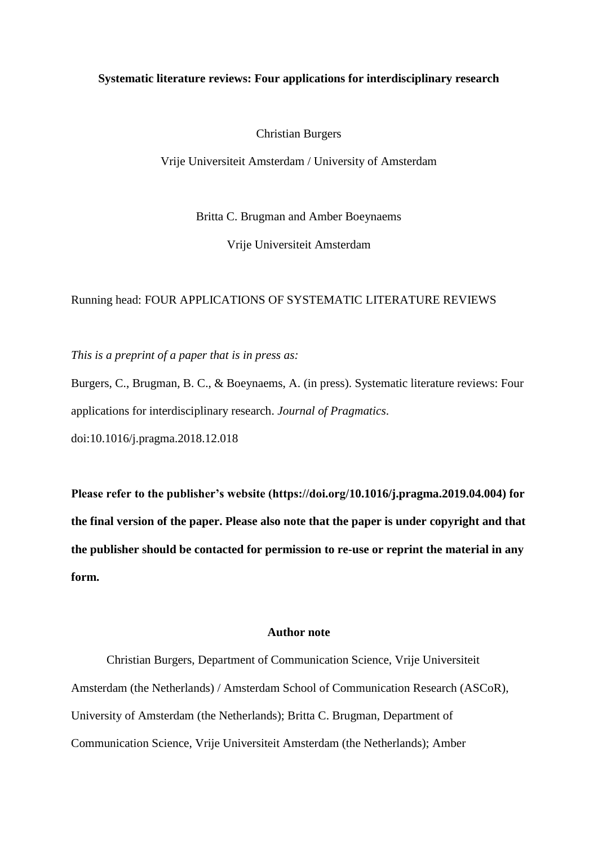#### **Systematic literature reviews: Four applications for interdisciplinary research**

Christian Burgers

Vrije Universiteit Amsterdam / University of Amsterdam

Britta C. Brugman and Amber Boeynaems

Vrije Universiteit Amsterdam

#### Running head: FOUR APPLICATIONS OF SYSTEMATIC LITERATURE REVIEWS

*This is a preprint of a paper that is in press as:* 

Burgers, C., Brugman, B. C., & Boeynaems, A. (in press). Systematic literature reviews: Four applications for interdisciplinary research. *Journal of Pragmatics*. doi:10.1016/j.pragma.2018.12.018

**Please refer to the publisher's website (https://doi.org/10.1016/j.pragma.2019.04.004) for the final version of the paper. Please also note that the paper is under copyright and that the publisher should be contacted for permission to re-use or reprint the material in any form.**

# **Author note**

Christian Burgers, Department of Communication Science, Vrije Universiteit Amsterdam (the Netherlands) / Amsterdam School of Communication Research (ASCoR), University of Amsterdam (the Netherlands); Britta C. Brugman, Department of Communication Science, Vrije Universiteit Amsterdam (the Netherlands); Amber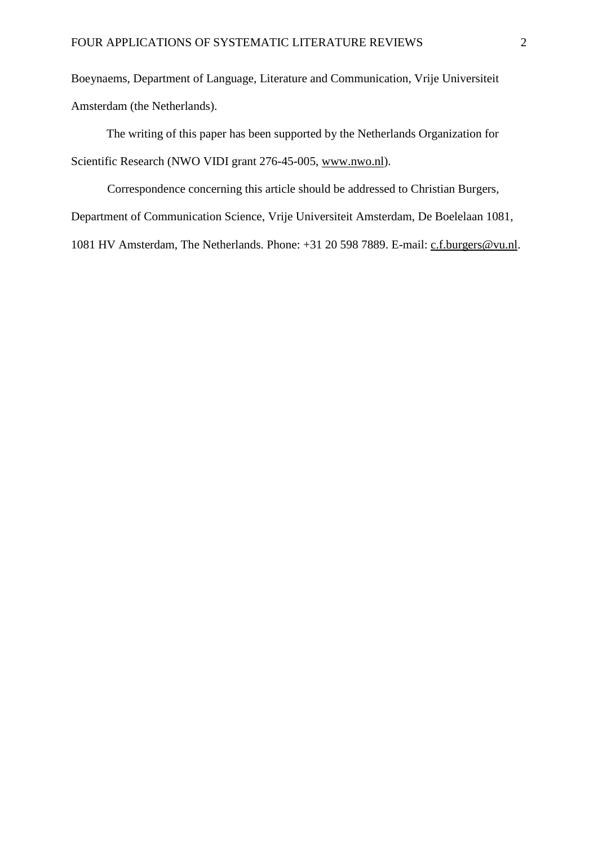Boeynaems, Department of Language, Literature and Communication, Vrije Universiteit Amsterdam (the Netherlands).

The writing of this paper has been supported by the Netherlands Organization for Scientific Research (NWO VIDI grant 276-45-005, [www.nwo.nl\)](http://www.nwo.nl/).

Correspondence concerning this article should be addressed to Christian Burgers, Department of Communication Science, Vrije Universiteit Amsterdam, De Boelelaan 1081, 1081 HV Amsterdam, The Netherlands. Phone: +31 20 598 7889. E-mail: [c.f.burgers@vu.nl.](mailto:c.f.burgers@vu.nl)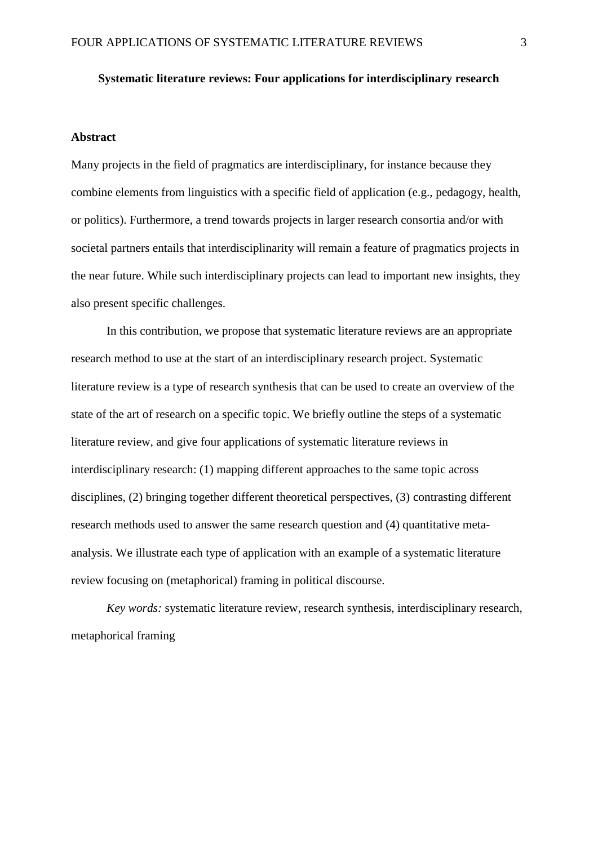### **Systematic literature reviews: Four applications for interdisciplinary research**

#### **Abstract**

Many projects in the field of pragmatics are interdisciplinary, for instance because they combine elements from linguistics with a specific field of application (e.g., pedagogy, health, or politics). Furthermore, a trend towards projects in larger research consortia and/or with societal partners entails that interdisciplinarity will remain a feature of pragmatics projects in the near future. While such interdisciplinary projects can lead to important new insights, they also present specific challenges.

In this contribution, we propose that systematic literature reviews are an appropriate research method to use at the start of an interdisciplinary research project. Systematic literature review is a type of research synthesis that can be used to create an overview of the state of the art of research on a specific topic. We briefly outline the steps of a systematic literature review, and give four applications of systematic literature reviews in interdisciplinary research: (1) mapping different approaches to the same topic across disciplines, (2) bringing together different theoretical perspectives, (3) contrasting different research methods used to answer the same research question and (4) quantitative metaanalysis. We illustrate each type of application with an example of a systematic literature review focusing on (metaphorical) framing in political discourse.

*Key words:* systematic literature review, research synthesis, interdisciplinary research, metaphorical framing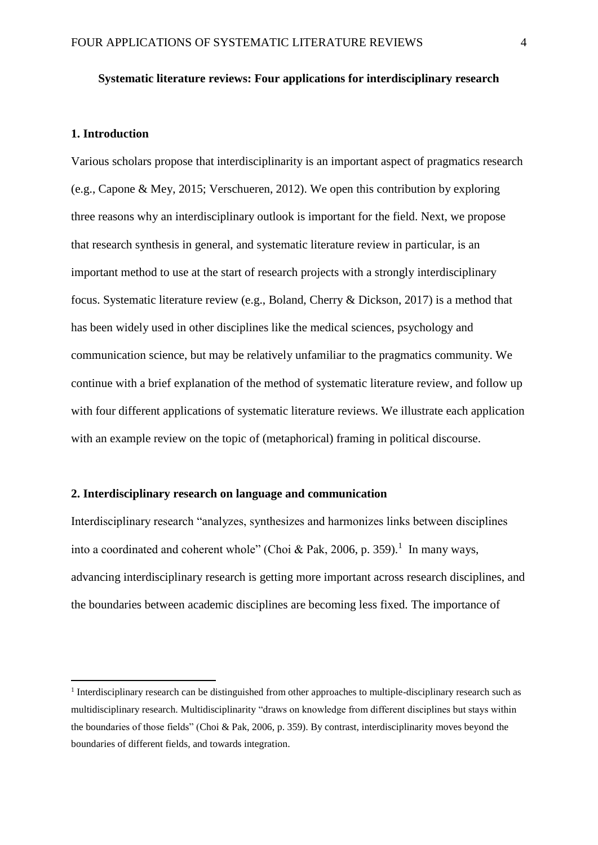### **Systematic literature reviews: Four applications for interdisciplinary research**

#### **1. Introduction**

1

Various scholars propose that interdisciplinarity is an important aspect of pragmatics research (e.g., Capone & Mey, 2015; Verschueren, 2012). We open this contribution by exploring three reasons why an interdisciplinary outlook is important for the field. Next, we propose that research synthesis in general, and systematic literature review in particular, is an important method to use at the start of research projects with a strongly interdisciplinary focus. Systematic literature review (e.g., Boland, Cherry & Dickson, 2017) is a method that has been widely used in other disciplines like the medical sciences, psychology and communication science, but may be relatively unfamiliar to the pragmatics community. We continue with a brief explanation of the method of systematic literature review, and follow up with four different applications of systematic literature reviews. We illustrate each application with an example review on the topic of (metaphorical) framing in political discourse.

## **2. Interdisciplinary research on language and communication**

Interdisciplinary research "analyzes, synthesizes and harmonizes links between disciplines into a coordinated and coherent whole" (Choi & Pak, 2006, p. 359).<sup>1</sup> In many ways, advancing interdisciplinary research is getting more important across research disciplines, and the boundaries between academic disciplines are becoming less fixed*.* The importance of

<sup>&</sup>lt;sup>1</sup> Interdisciplinary research can be distinguished from other approaches to multiple-disciplinary research such as multidisciplinary research. Multidisciplinarity "draws on knowledge from different disciplines but stays within the boundaries of those fields" (Choi & Pak, 2006, p. 359). By contrast, interdisciplinarity moves beyond the boundaries of different fields, and towards integration.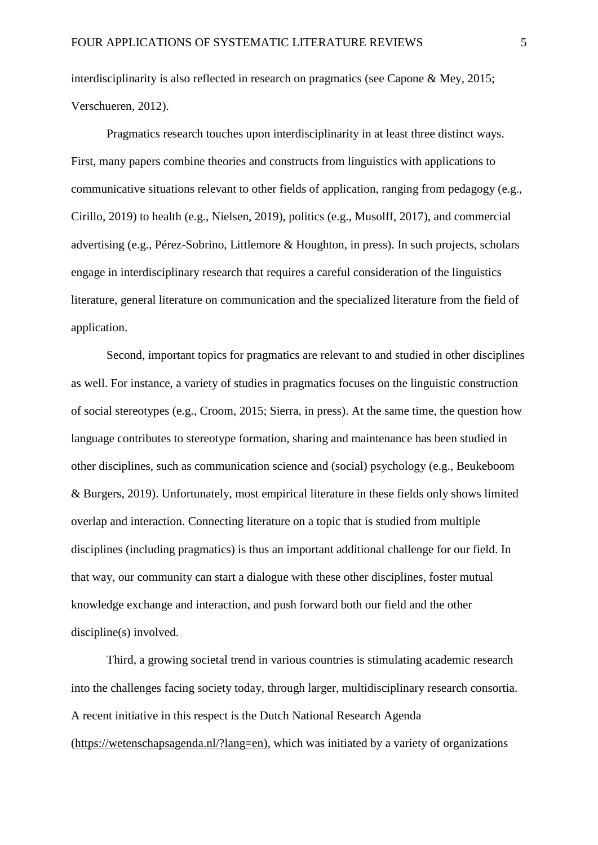interdisciplinarity is also reflected in research on pragmatics (see Capone & Mey, 2015; Verschueren, 2012).

Pragmatics research touches upon interdisciplinarity in at least three distinct ways. First, many papers combine theories and constructs from linguistics with applications to communicative situations relevant to other fields of application, ranging from pedagogy (e.g., Cirillo, 2019) to health (e.g., Nielsen, 2019), politics (e.g., Musolff, 2017), and commercial advertising (e.g., Pérez-Sobrino, Littlemore & Houghton, in press). In such projects, scholars engage in interdisciplinary research that requires a careful consideration of the linguistics literature, general literature on communication and the specialized literature from the field of application.

Second, important topics for pragmatics are relevant to and studied in other disciplines as well. For instance, a variety of studies in pragmatics focuses on the linguistic construction of social stereotypes (e.g., Croom, 2015; Sierra, in press). At the same time, the question how language contributes to stereotype formation, sharing and maintenance has been studied in other disciplines, such as communication science and (social) psychology (e.g., Beukeboom & Burgers, 2019). Unfortunately, most empirical literature in these fields only shows limited overlap and interaction. Connecting literature on a topic that is studied from multiple disciplines (including pragmatics) is thus an important additional challenge for our field. In that way, our community can start a dialogue with these other disciplines, foster mutual knowledge exchange and interaction, and push forward both our field and the other discipline(s) involved.

Third, a growing societal trend in various countries is stimulating academic research into the challenges facing society today, through larger, multidisciplinary research consortia. A recent initiative in this respect is the Dutch National Research Agenda [\(https://wetenschapsagenda.nl/?lang=en\)](https://wetenschapsagenda.nl/?lang=en), which was initiated by a variety of organizations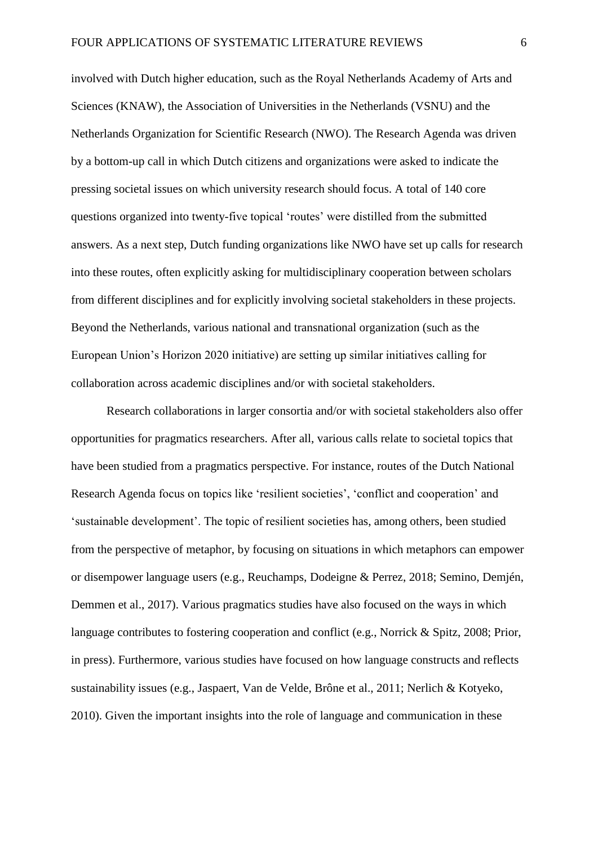involved with Dutch higher education, such as the Royal Netherlands Academy of Arts and Sciences (KNAW), the Association of Universities in the Netherlands (VSNU) and the Netherlands Organization for Scientific Research (NWO). The Research Agenda was driven by a bottom-up call in which Dutch citizens and organizations were asked to indicate the pressing societal issues on which university research should focus. A total of 140 core questions organized into twenty-five topical 'routes' were distilled from the submitted answers. As a next step, Dutch funding organizations like NWO have set up calls for research into these routes, often explicitly asking for multidisciplinary cooperation between scholars from different disciplines and for explicitly involving societal stakeholders in these projects. Beyond the Netherlands, various national and transnational organization (such as the European Union's Horizon 2020 initiative) are setting up similar initiatives calling for collaboration across academic disciplines and/or with societal stakeholders.

Research collaborations in larger consortia and/or with societal stakeholders also offer opportunities for pragmatics researchers. After all, various calls relate to societal topics that have been studied from a pragmatics perspective. For instance, routes of the Dutch National Research Agenda focus on topics like 'resilient societies', 'conflict and cooperation' and 'sustainable development'. The topic of resilient societies has, among others, been studied from the perspective of metaphor, by focusing on situations in which metaphors can empower or disempower language users (e.g., Reuchamps, Dodeigne & Perrez, 2018; Semino, Demjén, Demmen et al., 2017). Various pragmatics studies have also focused on the ways in which language contributes to fostering cooperation and conflict (e.g., Norrick & Spitz, 2008; Prior, in press). Furthermore, various studies have focused on how language constructs and reflects sustainability issues (e.g., Jaspaert, Van de Velde, Brône et al., 2011; Nerlich & Kotyeko, 2010). Given the important insights into the role of language and communication in these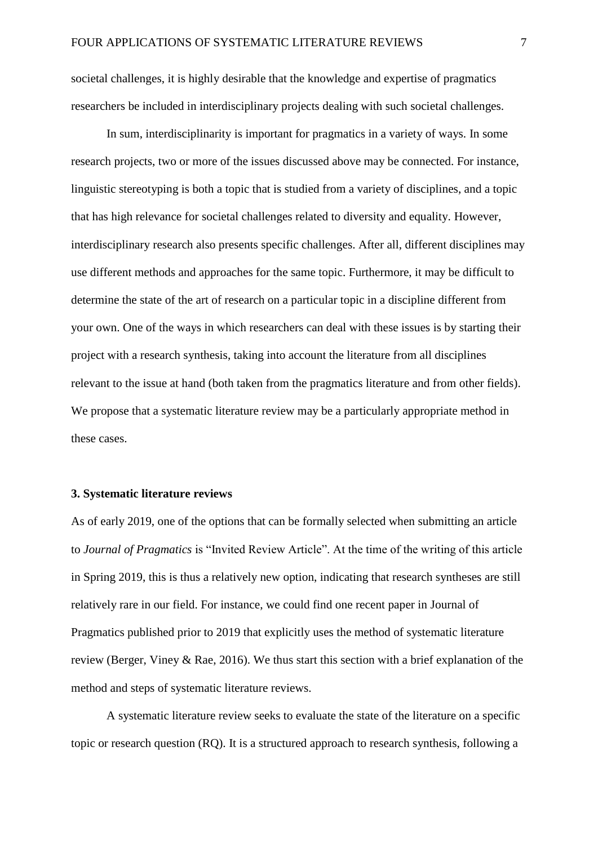societal challenges, it is highly desirable that the knowledge and expertise of pragmatics researchers be included in interdisciplinary projects dealing with such societal challenges.

In sum, interdisciplinarity is important for pragmatics in a variety of ways. In some research projects, two or more of the issues discussed above may be connected. For instance, linguistic stereotyping is both a topic that is studied from a variety of disciplines, and a topic that has high relevance for societal challenges related to diversity and equality. However, interdisciplinary research also presents specific challenges. After all, different disciplines may use different methods and approaches for the same topic. Furthermore, it may be difficult to determine the state of the art of research on a particular topic in a discipline different from your own. One of the ways in which researchers can deal with these issues is by starting their project with a research synthesis, taking into account the literature from all disciplines relevant to the issue at hand (both taken from the pragmatics literature and from other fields). We propose that a systematic literature review may be a particularly appropriate method in these cases.

## **3. Systematic literature reviews**

As of early 2019, one of the options that can be formally selected when submitting an article to *Journal of Pragmatics* is "Invited Review Article". At the time of the writing of this article in Spring 2019, this is thus a relatively new option, indicating that research syntheses are still relatively rare in our field. For instance, we could find one recent paper in Journal of Pragmatics published prior to 2019 that explicitly uses the method of systematic literature review (Berger, Viney & Rae, 2016). We thus start this section with a brief explanation of the method and steps of systematic literature reviews.

A systematic literature review seeks to evaluate the state of the literature on a specific topic or research question (RQ). It is a structured approach to research synthesis, following a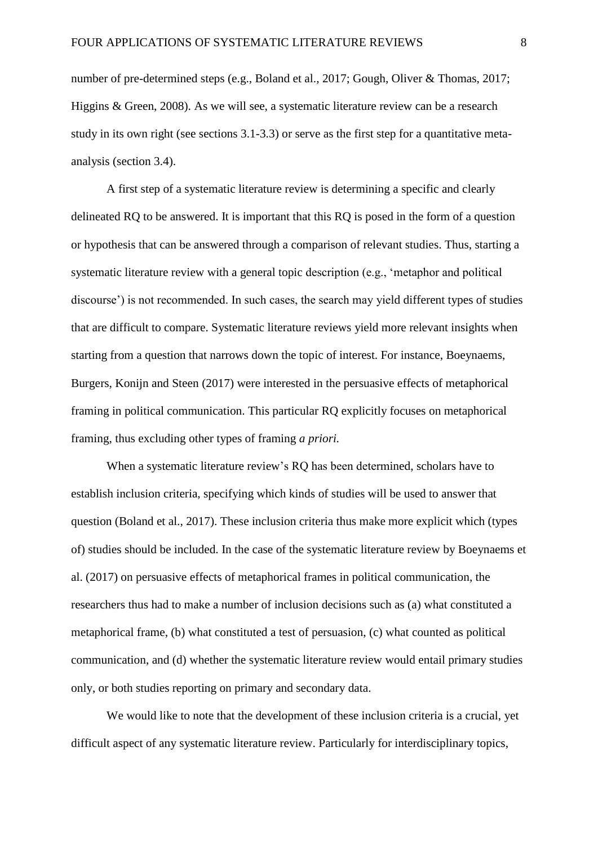number of pre-determined steps (e.g., Boland et al., 2017; Gough, Oliver & Thomas, 2017; Higgins & Green, 2008). As we will see, a systematic literature review can be a research study in its own right (see sections 3.1-3.3) or serve as the first step for a quantitative metaanalysis (section 3.4).

A first step of a systematic literature review is determining a specific and clearly delineated RQ to be answered. It is important that this RQ is posed in the form of a question or hypothesis that can be answered through a comparison of relevant studies. Thus, starting a systematic literature review with a general topic description (e.g., 'metaphor and political discourse') is not recommended. In such cases, the search may yield different types of studies that are difficult to compare. Systematic literature reviews yield more relevant insights when starting from a question that narrows down the topic of interest. For instance, Boeynaems, Burgers, Konijn and Steen (2017) were interested in the persuasive effects of metaphorical framing in political communication. This particular RQ explicitly focuses on metaphorical framing, thus excluding other types of framing *a priori.* 

When a systematic literature review's RQ has been determined, scholars have to establish inclusion criteria, specifying which kinds of studies will be used to answer that question (Boland et al., 2017). These inclusion criteria thus make more explicit which (types of) studies should be included. In the case of the systematic literature review by Boeynaems et al. (2017) on persuasive effects of metaphorical frames in political communication, the researchers thus had to make a number of inclusion decisions such as (a) what constituted a metaphorical frame, (b) what constituted a test of persuasion, (c) what counted as political communication, and (d) whether the systematic literature review would entail primary studies only, or both studies reporting on primary and secondary data.

We would like to note that the development of these inclusion criteria is a crucial, yet difficult aspect of any systematic literature review. Particularly for interdisciplinary topics,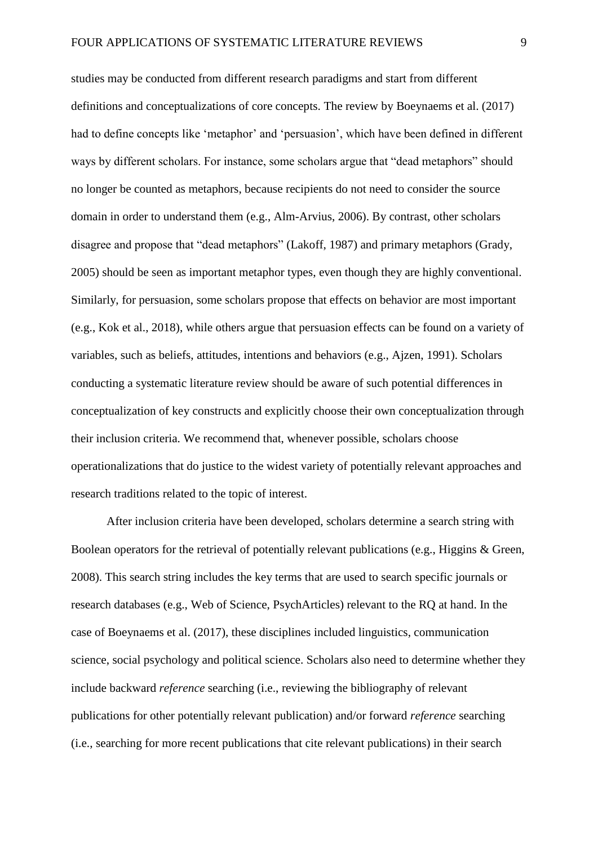studies may be conducted from different research paradigms and start from different definitions and conceptualizations of core concepts. The review by Boeynaems et al. (2017) had to define concepts like 'metaphor' and 'persuasion', which have been defined in different ways by different scholars. For instance, some scholars argue that "dead metaphors" should no longer be counted as metaphors, because recipients do not need to consider the source domain in order to understand them (e.g., Alm-Arvius, 2006). By contrast, other scholars disagree and propose that "dead metaphors" (Lakoff, 1987) and primary metaphors (Grady, 2005) should be seen as important metaphor types, even though they are highly conventional. Similarly, for persuasion, some scholars propose that effects on behavior are most important (e.g., Kok et al., 2018), while others argue that persuasion effects can be found on a variety of variables, such as beliefs, attitudes, intentions and behaviors (e.g., Ajzen, 1991). Scholars conducting a systematic literature review should be aware of such potential differences in conceptualization of key constructs and explicitly choose their own conceptualization through their inclusion criteria. We recommend that, whenever possible, scholars choose operationalizations that do justice to the widest variety of potentially relevant approaches and research traditions related to the topic of interest.

After inclusion criteria have been developed, scholars determine a search string with Boolean operators for the retrieval of potentially relevant publications (e.g., Higgins & Green, 2008). This search string includes the key terms that are used to search specific journals or research databases (e.g., Web of Science, PsychArticles) relevant to the RQ at hand. In the case of Boeynaems et al. (2017), these disciplines included linguistics, communication science, social psychology and political science. Scholars also need to determine whether they include backward *reference* searching (i.e., reviewing the bibliography of relevant publications for other potentially relevant publication) and/or forward *reference* searching (i.e., searching for more recent publications that cite relevant publications) in their search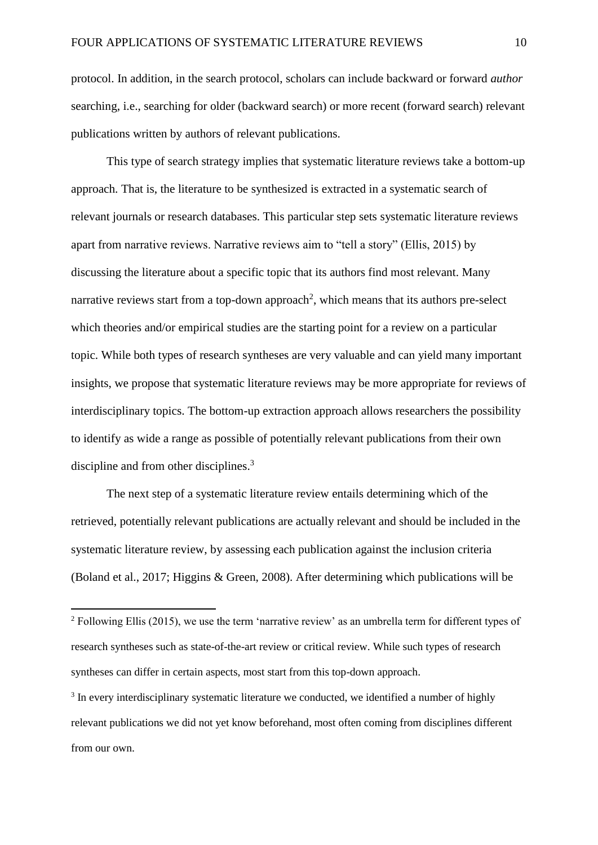protocol. In addition, in the search protocol, scholars can include backward or forward *author* searching, i.e., searching for older (backward search) or more recent (forward search) relevant publications written by authors of relevant publications.

This type of search strategy implies that systematic literature reviews take a bottom-up approach. That is, the literature to be synthesized is extracted in a systematic search of relevant journals or research databases. This particular step sets systematic literature reviews apart from narrative reviews. Narrative reviews aim to "tell a story" (Ellis, 2015) by discussing the literature about a specific topic that its authors find most relevant. Many narrative reviews start from a top-down approach<sup>2</sup>, which means that its authors pre-select which theories and/or empirical studies are the starting point for a review on a particular topic. While both types of research syntheses are very valuable and can yield many important insights, we propose that systematic literature reviews may be more appropriate for reviews of interdisciplinary topics. The bottom-up extraction approach allows researchers the possibility to identify as wide a range as possible of potentially relevant publications from their own discipline and from other disciplines.<sup>3</sup>

The next step of a systematic literature review entails determining which of the retrieved, potentially relevant publications are actually relevant and should be included in the systematic literature review, by assessing each publication against the inclusion criteria (Boland et al., 2017; Higgins & Green, 2008). After determining which publications will be

1

 $2$  Following Ellis (2015), we use the term 'narrative review' as an umbrella term for different types of research syntheses such as state-of-the-art review or critical review. While such types of research syntheses can differ in certain aspects, most start from this top-down approach.

<sup>&</sup>lt;sup>3</sup> In every interdisciplinary systematic literature we conducted, we identified a number of highly relevant publications we did not yet know beforehand, most often coming from disciplines different from our own.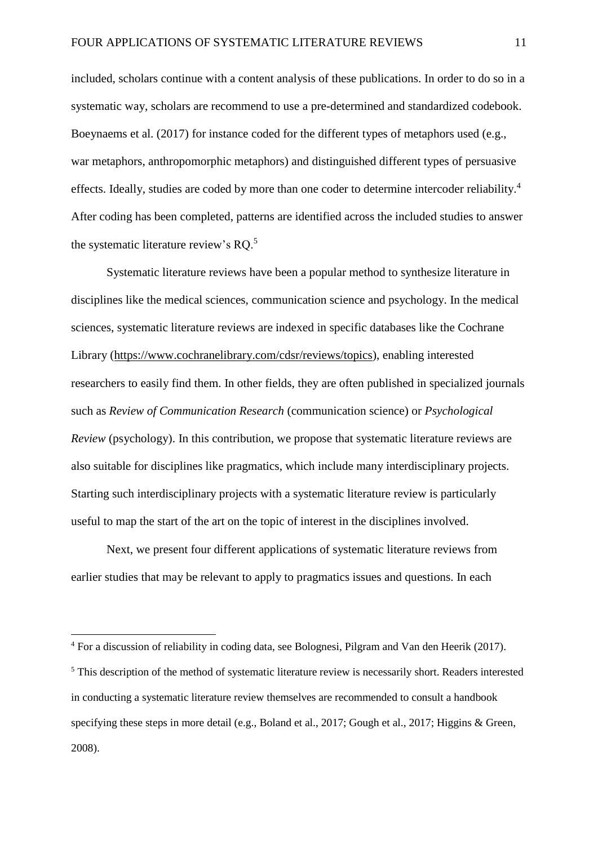included, scholars continue with a content analysis of these publications. In order to do so in a systematic way, scholars are recommend to use a pre-determined and standardized codebook. Boeynaems et al. (2017) for instance coded for the different types of metaphors used (e.g., war metaphors, anthropomorphic metaphors) and distinguished different types of persuasive effects. Ideally, studies are coded by more than one coder to determine intercoder reliability.<sup>4</sup> After coding has been completed, patterns are identified across the included studies to answer the systematic literature review's RQ.<sup>5</sup>

Systematic literature reviews have been a popular method to synthesize literature in disciplines like the medical sciences, communication science and psychology. In the medical sciences, systematic literature reviews are indexed in specific databases like the Cochrane Library [\(https://www.cochranelibrary.com/cdsr/reviews/topics\)](https://www.cochranelibrary.com/cdsr/reviews/topics), enabling interested researchers to easily find them. In other fields, they are often published in specialized journals such as *Review of Communication Research* (communication science) or *Psychological Review* (psychology). In this contribution, we propose that systematic literature reviews are also suitable for disciplines like pragmatics, which include many interdisciplinary projects. Starting such interdisciplinary projects with a systematic literature review is particularly useful to map the start of the art on the topic of interest in the disciplines involved.

Next, we present four different applications of systematic literature reviews from earlier studies that may be relevant to apply to pragmatics issues and questions. In each

<u>.</u>

<sup>4</sup> For a discussion of reliability in coding data, see Bolognesi, Pilgram and Van den Heerik (2017).

<sup>&</sup>lt;sup>5</sup> This description of the method of systematic literature review is necessarily short. Readers interested in conducting a systematic literature review themselves are recommended to consult a handbook specifying these steps in more detail (e.g., Boland et al., 2017; Gough et al., 2017; Higgins & Green, 2008).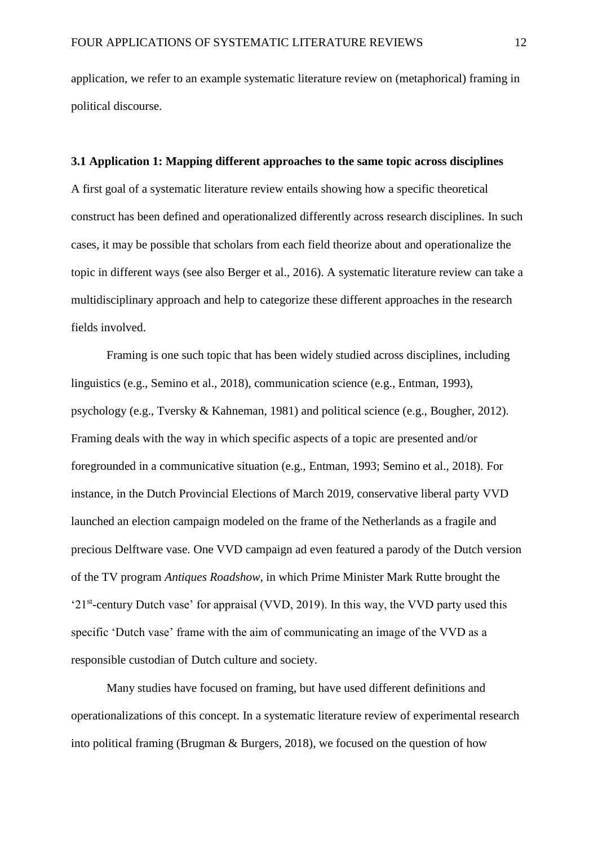application, we refer to an example systematic literature review on (metaphorical) framing in political discourse.

## **3.1 Application 1: Mapping different approaches to the same topic across disciplines**

A first goal of a systematic literature review entails showing how a specific theoretical construct has been defined and operationalized differently across research disciplines. In such cases, it may be possible that scholars from each field theorize about and operationalize the topic in different ways (see also Berger et al., 2016). A systematic literature review can take a multidisciplinary approach and help to categorize these different approaches in the research fields involved.

Framing is one such topic that has been widely studied across disciplines, including linguistics (e.g., Semino et al., 2018), communication science (e.g., Entman, 1993), psychology (e.g., Tversky & Kahneman, 1981) and political science (e.g., Bougher, 2012). Framing deals with the way in which specific aspects of a topic are presented and/or foregrounded in a communicative situation (e.g., Entman, 1993; Semino et al., 2018). For instance, in the Dutch Provincial Elections of March 2019, conservative liberal party VVD launched an election campaign modeled on the frame of the Netherlands as a fragile and precious Delftware vase. One VVD campaign ad even featured a parody of the Dutch version of the TV program *Antiques Roadshow*, in which Prime Minister Mark Rutte brought the '21<sup>st</sup>-century Dutch vase' for appraisal (VVD, 2019). In this way, the VVD party used this specific 'Dutch vase' frame with the aim of communicating an image of the VVD as a responsible custodian of Dutch culture and society.

Many studies have focused on framing, but have used different definitions and operationalizations of this concept. In a systematic literature review of experimental research into political framing (Brugman & Burgers, 2018), we focused on the question of how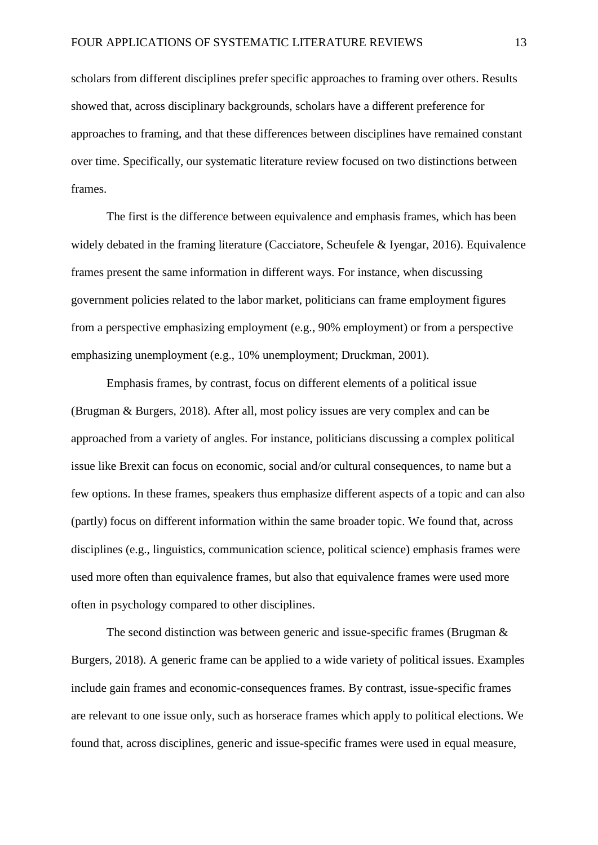scholars from different disciplines prefer specific approaches to framing over others. Results showed that, across disciplinary backgrounds, scholars have a different preference for approaches to framing, and that these differences between disciplines have remained constant over time. Specifically, our systematic literature review focused on two distinctions between frames.

The first is the difference between equivalence and emphasis frames, which has been widely debated in the framing literature (Cacciatore, Scheufele & Iyengar, 2016). Equivalence frames present the same information in different ways. For instance, when discussing government policies related to the labor market, politicians can frame employment figures from a perspective emphasizing employment (e.g., 90% employment) or from a perspective emphasizing unemployment (e.g., 10% unemployment; Druckman, 2001).

Emphasis frames, by contrast, focus on different elements of a political issue (Brugman & Burgers, 2018). After all, most policy issues are very complex and can be approached from a variety of angles. For instance, politicians discussing a complex political issue like Brexit can focus on economic, social and/or cultural consequences, to name but a few options. In these frames, speakers thus emphasize different aspects of a topic and can also (partly) focus on different information within the same broader topic. We found that, across disciplines (e.g., linguistics, communication science, political science) emphasis frames were used more often than equivalence frames, but also that equivalence frames were used more often in psychology compared to other disciplines.

The second distinction was between generic and issue-specific frames (Brugman & Burgers, 2018). A generic frame can be applied to a wide variety of political issues. Examples include gain frames and economic-consequences frames. By contrast, issue-specific frames are relevant to one issue only, such as horserace frames which apply to political elections. We found that, across disciplines, generic and issue-specific frames were used in equal measure,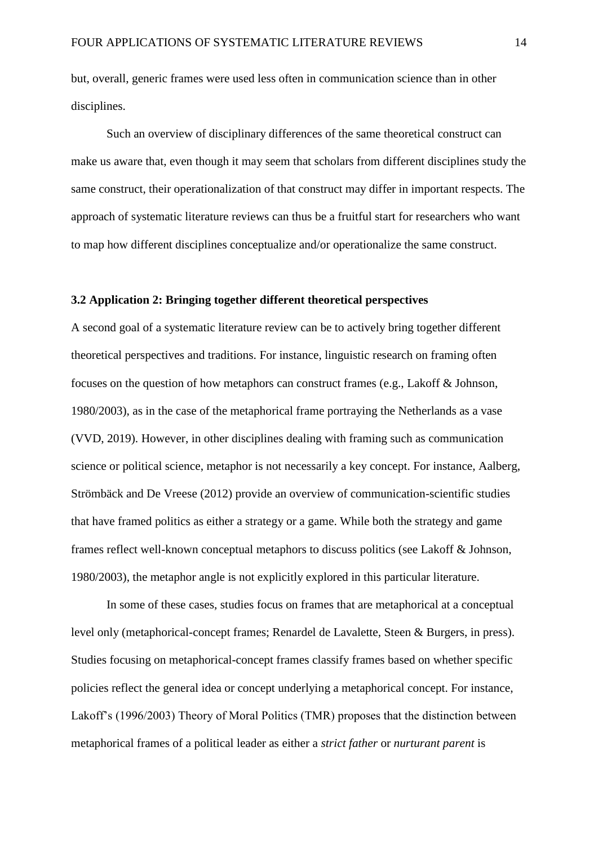but, overall, generic frames were used less often in communication science than in other disciplines.

Such an overview of disciplinary differences of the same theoretical construct can make us aware that, even though it may seem that scholars from different disciplines study the same construct, their operationalization of that construct may differ in important respects. The approach of systematic literature reviews can thus be a fruitful start for researchers who want to map how different disciplines conceptualize and/or operationalize the same construct.

#### **3.2 Application 2: Bringing together different theoretical perspectives**

A second goal of a systematic literature review can be to actively bring together different theoretical perspectives and traditions. For instance, linguistic research on framing often focuses on the question of how metaphors can construct frames (e.g., Lakoff & Johnson, 1980/2003), as in the case of the metaphorical frame portraying the Netherlands as a vase (VVD, 2019). However, in other disciplines dealing with framing such as communication science or political science, metaphor is not necessarily a key concept. For instance, Aalberg, Strömbäck and De Vreese (2012) provide an overview of communication-scientific studies that have framed politics as either a strategy or a game. While both the strategy and game frames reflect well-known conceptual metaphors to discuss politics (see Lakoff & Johnson, 1980/2003), the metaphor angle is not explicitly explored in this particular literature.

In some of these cases, studies focus on frames that are metaphorical at a conceptual level only (metaphorical-concept frames; Renardel de Lavalette, Steen & Burgers, in press). Studies focusing on metaphorical-concept frames classify frames based on whether specific policies reflect the general idea or concept underlying a metaphorical concept. For instance, Lakoff's (1996/2003) Theory of Moral Politics (TMR) proposes that the distinction between metaphorical frames of a political leader as either a *strict father* or *nurturant parent* is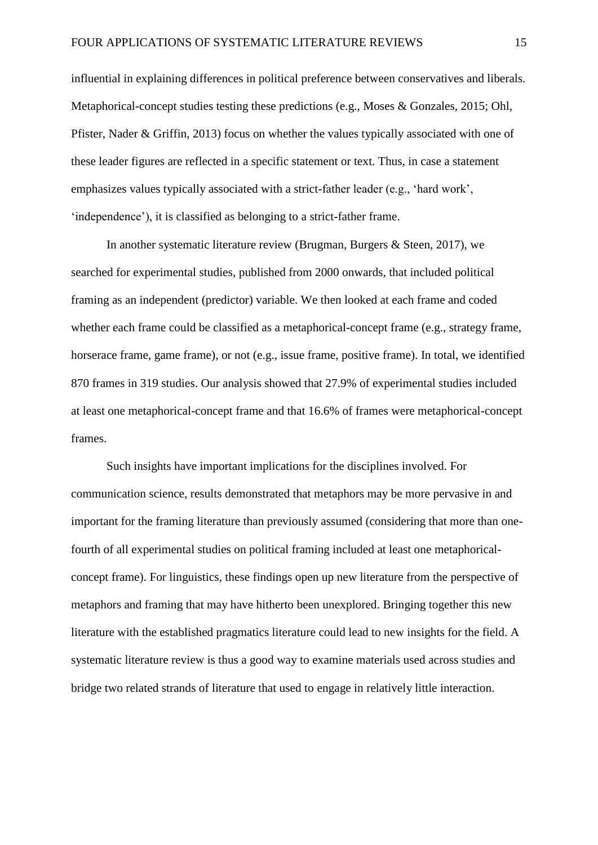influential in explaining differences in political preference between conservatives and liberals. Metaphorical-concept studies testing these predictions (e.g., Moses & Gonzales, 2015; Ohl, Pfister, Nader & Griffin, 2013) focus on whether the values typically associated with one of these leader figures are reflected in a specific statement or text. Thus, in case a statement emphasizes values typically associated with a strict-father leader (e.g., 'hard work', 'independence'), it is classified as belonging to a strict-father frame.

In another systematic literature review (Brugman, Burgers & Steen, 2017), we searched for experimental studies, published from 2000 onwards, that included political framing as an independent (predictor) variable. We then looked at each frame and coded whether each frame could be classified as a metaphorical-concept frame (e.g., strategy frame, horserace frame, game frame), or not (e.g., issue frame, positive frame). In total, we identified 870 frames in 319 studies. Our analysis showed that 27.9% of experimental studies included at least one metaphorical-concept frame and that 16.6% of frames were metaphorical-concept frames.

Such insights have important implications for the disciplines involved. For communication science, results demonstrated that metaphors may be more pervasive in and important for the framing literature than previously assumed (considering that more than onefourth of all experimental studies on political framing included at least one metaphoricalconcept frame). For linguistics, these findings open up new literature from the perspective of metaphors and framing that may have hitherto been unexplored. Bringing together this new literature with the established pragmatics literature could lead to new insights for the field. A systematic literature review is thus a good way to examine materials used across studies and bridge two related strands of literature that used to engage in relatively little interaction.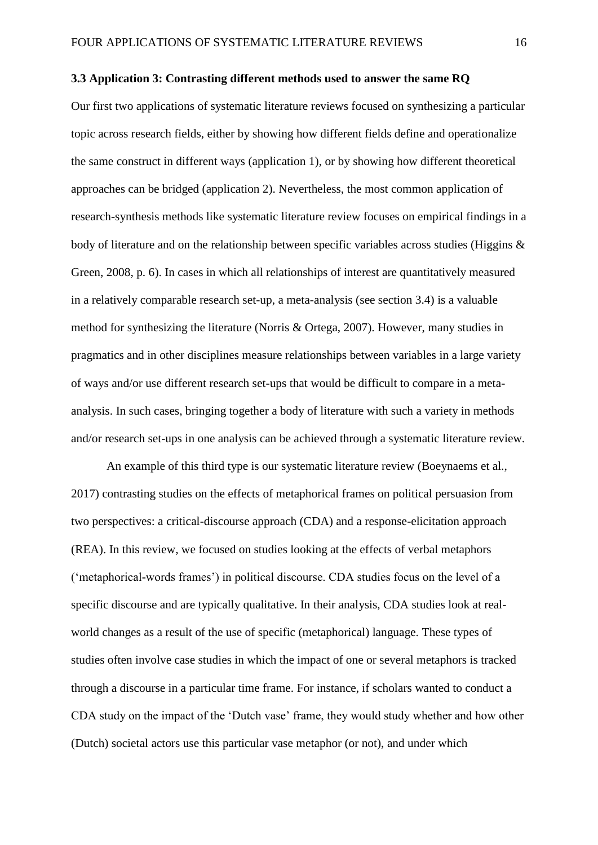#### **3.3 Application 3: Contrasting different methods used to answer the same RQ**

Our first two applications of systematic literature reviews focused on synthesizing a particular topic across research fields, either by showing how different fields define and operationalize the same construct in different ways (application 1), or by showing how different theoretical approaches can be bridged (application 2). Nevertheless, the most common application of research-synthesis methods like systematic literature review focuses on empirical findings in a body of literature and on the relationship between specific variables across studies (Higgins & Green, 2008, p. 6). In cases in which all relationships of interest are quantitatively measured in a relatively comparable research set-up, a meta-analysis (see section 3.4) is a valuable method for synthesizing the literature (Norris & Ortega, 2007). However, many studies in pragmatics and in other disciplines measure relationships between variables in a large variety of ways and/or use different research set-ups that would be difficult to compare in a metaanalysis. In such cases, bringing together a body of literature with such a variety in methods and/or research set-ups in one analysis can be achieved through a systematic literature review.

An example of this third type is our systematic literature review (Boeynaems et al., 2017) contrasting studies on the effects of metaphorical frames on political persuasion from two perspectives: a critical-discourse approach (CDA) and a response-elicitation approach (REA). In this review, we focused on studies looking at the effects of verbal metaphors ('metaphorical-words frames') in political discourse. CDA studies focus on the level of a specific discourse and are typically qualitative. In their analysis, CDA studies look at realworld changes as a result of the use of specific (metaphorical) language. These types of studies often involve case studies in which the impact of one or several metaphors is tracked through a discourse in a particular time frame. For instance, if scholars wanted to conduct a CDA study on the impact of the 'Dutch vase' frame, they would study whether and how other (Dutch) societal actors use this particular vase metaphor (or not), and under which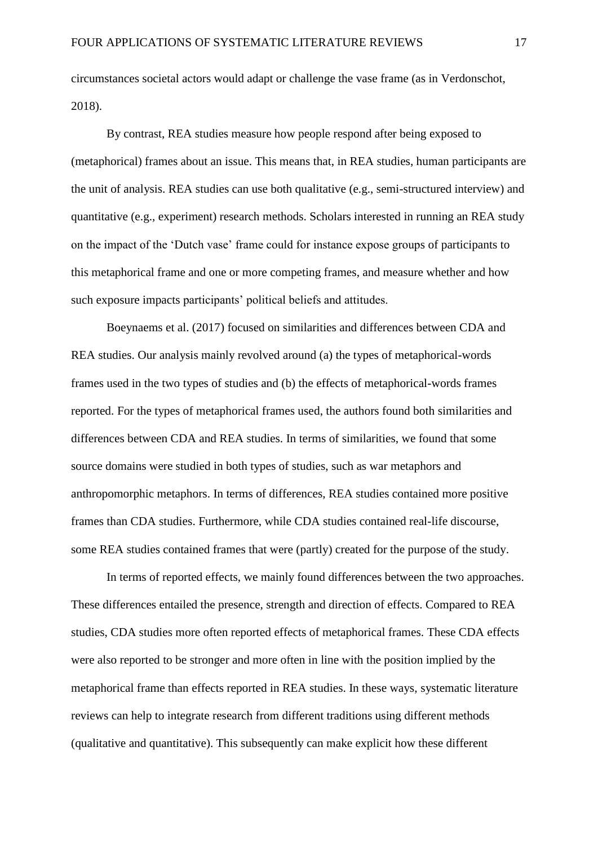circumstances societal actors would adapt or challenge the vase frame (as in Verdonschot, 2018).

By contrast, REA studies measure how people respond after being exposed to (metaphorical) frames about an issue. This means that, in REA studies, human participants are the unit of analysis. REA studies can use both qualitative (e.g., semi-structured interview) and quantitative (e.g., experiment) research methods. Scholars interested in running an REA study on the impact of the 'Dutch vase' frame could for instance expose groups of participants to this metaphorical frame and one or more competing frames, and measure whether and how such exposure impacts participants' political beliefs and attitudes.

Boeynaems et al. (2017) focused on similarities and differences between CDA and REA studies. Our analysis mainly revolved around (a) the types of metaphorical-words frames used in the two types of studies and (b) the effects of metaphorical-words frames reported. For the types of metaphorical frames used, the authors found both similarities and differences between CDA and REA studies. In terms of similarities, we found that some source domains were studied in both types of studies, such as war metaphors and anthropomorphic metaphors. In terms of differences, REA studies contained more positive frames than CDA studies. Furthermore, while CDA studies contained real-life discourse, some REA studies contained frames that were (partly) created for the purpose of the study.

In terms of reported effects, we mainly found differences between the two approaches. These differences entailed the presence, strength and direction of effects. Compared to REA studies, CDA studies more often reported effects of metaphorical frames. These CDA effects were also reported to be stronger and more often in line with the position implied by the metaphorical frame than effects reported in REA studies. In these ways, systematic literature reviews can help to integrate research from different traditions using different methods (qualitative and quantitative). This subsequently can make explicit how these different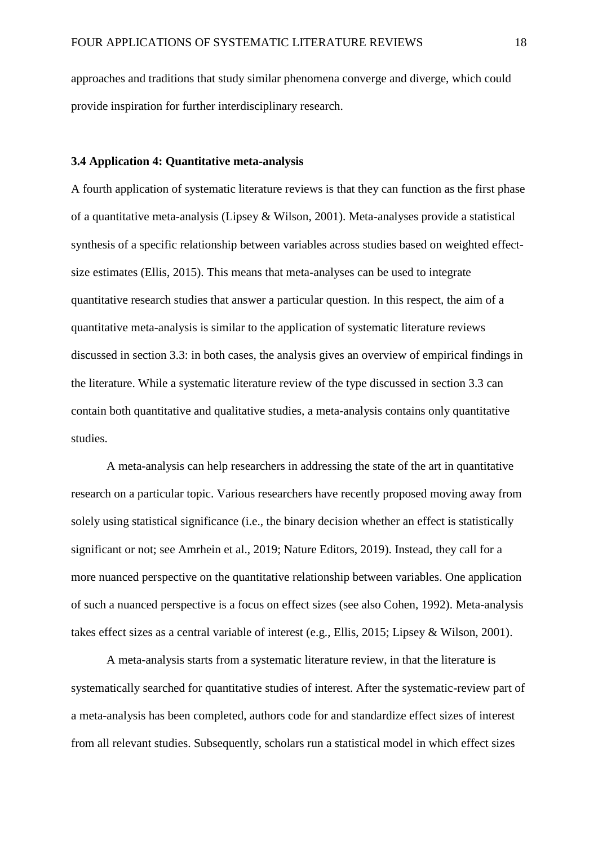approaches and traditions that study similar phenomena converge and diverge, which could provide inspiration for further interdisciplinary research.

## **3.4 Application 4: Quantitative meta-analysis**

A fourth application of systematic literature reviews is that they can function as the first phase of a quantitative meta-analysis (Lipsey & Wilson, 2001). Meta-analyses provide a statistical synthesis of a specific relationship between variables across studies based on weighted effectsize estimates (Ellis, 2015). This means that meta-analyses can be used to integrate quantitative research studies that answer a particular question. In this respect, the aim of a quantitative meta-analysis is similar to the application of systematic literature reviews discussed in section 3.3: in both cases, the analysis gives an overview of empirical findings in the literature. While a systematic literature review of the type discussed in section 3.3 can contain both quantitative and qualitative studies, a meta-analysis contains only quantitative studies.

A meta-analysis can help researchers in addressing the state of the art in quantitative research on a particular topic. Various researchers have recently proposed moving away from solely using statistical significance (i.e., the binary decision whether an effect is statistically significant or not; see Amrhein et al., 2019; Nature Editors, 2019). Instead, they call for a more nuanced perspective on the quantitative relationship between variables. One application of such a nuanced perspective is a focus on effect sizes (see also Cohen, 1992). Meta-analysis takes effect sizes as a central variable of interest (e.g., Ellis, 2015; Lipsey & Wilson, 2001).

A meta-analysis starts from a systematic literature review, in that the literature is systematically searched for quantitative studies of interest. After the systematic-review part of a meta-analysis has been completed, authors code for and standardize effect sizes of interest from all relevant studies. Subsequently, scholars run a statistical model in which effect sizes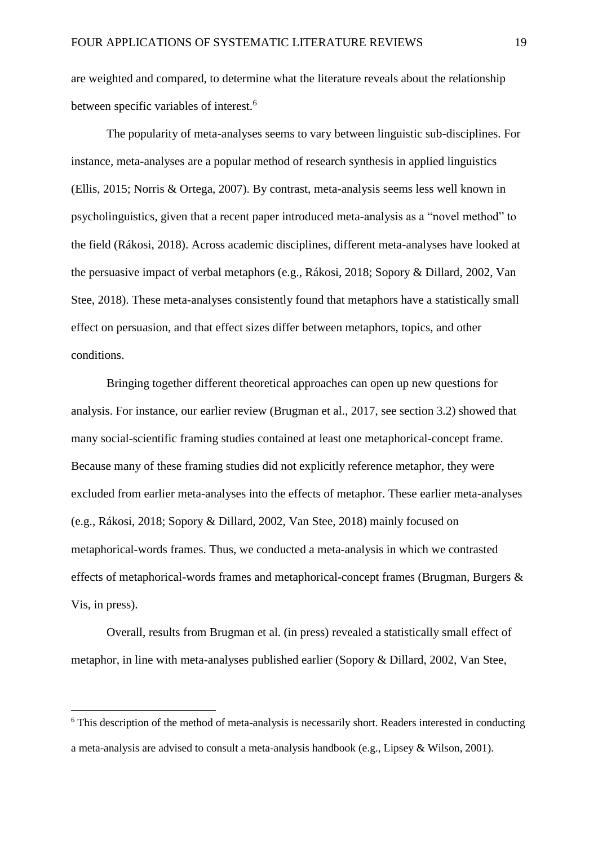are weighted and compared, to determine what the literature reveals about the relationship between specific variables of interest.<sup>6</sup>

The popularity of meta-analyses seems to vary between linguistic sub-disciplines. For instance, meta-analyses are a popular method of research synthesis in applied linguistics (Ellis, 2015; Norris & Ortega, 2007). By contrast, meta-analysis seems less well known in psycholinguistics, given that a recent paper introduced meta-analysis as a "novel method" to the field (Rákosi, 2018). Across academic disciplines, different meta-analyses have looked at the persuasive impact of verbal metaphors (e.g., Rákosi, 2018; Sopory & Dillard, 2002, Van Stee, 2018). These meta-analyses consistently found that metaphors have a statistically small effect on persuasion, and that effect sizes differ between metaphors, topics, and other conditions.

Bringing together different theoretical approaches can open up new questions for analysis. For instance, our earlier review (Brugman et al., 2017, see section 3.2) showed that many social-scientific framing studies contained at least one metaphorical-concept frame. Because many of these framing studies did not explicitly reference metaphor, they were excluded from earlier meta-analyses into the effects of metaphor. These earlier meta-analyses (e.g., Rákosi, 2018; Sopory & Dillard, 2002, Van Stee, 2018) mainly focused on metaphorical-words frames. Thus, we conducted a meta-analysis in which we contrasted effects of metaphorical-words frames and metaphorical-concept frames (Brugman, Burgers & Vis, in press).

Overall, results from Brugman et al. (in press) revealed a statistically small effect of metaphor, in line with meta-analyses published earlier (Sopory & Dillard, 2002, Van Stee,

1

<sup>&</sup>lt;sup>6</sup> This description of the method of meta-analysis is necessarily short. Readers interested in conducting a meta-analysis are advised to consult a meta-analysis handbook (e.g., Lipsey & Wilson, 2001).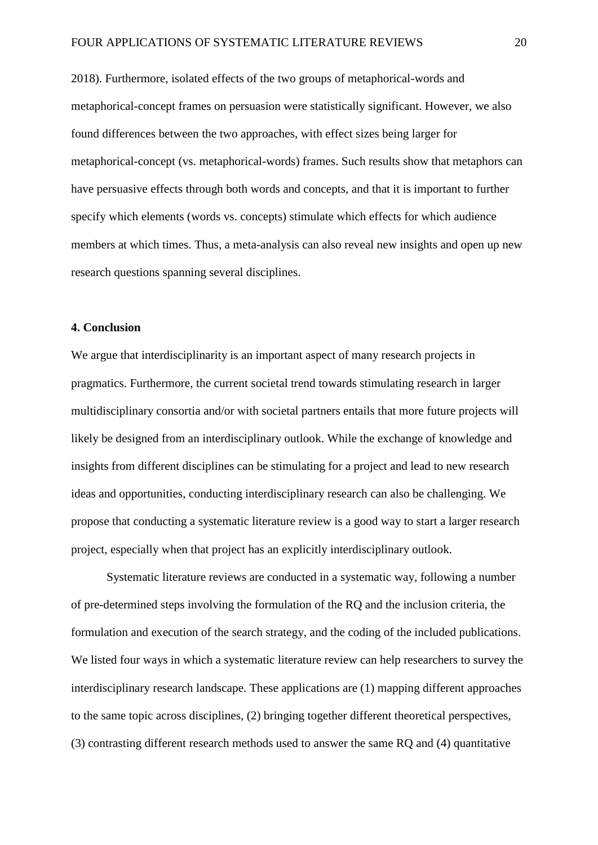2018). Furthermore, isolated effects of the two groups of metaphorical-words and metaphorical-concept frames on persuasion were statistically significant. However, we also found differences between the two approaches, with effect sizes being larger for metaphorical-concept (vs. metaphorical-words) frames. Such results show that metaphors can have persuasive effects through both words and concepts, and that it is important to further specify which elements (words vs. concepts) stimulate which effects for which audience members at which times. Thus, a meta-analysis can also reveal new insights and open up new research questions spanning several disciplines.

# **4. Conclusion**

We argue that interdisciplinarity is an important aspect of many research projects in pragmatics. Furthermore, the current societal trend towards stimulating research in larger multidisciplinary consortia and/or with societal partners entails that more future projects will likely be designed from an interdisciplinary outlook. While the exchange of knowledge and insights from different disciplines can be stimulating for a project and lead to new research ideas and opportunities, conducting interdisciplinary research can also be challenging. We propose that conducting a systematic literature review is a good way to start a larger research project, especially when that project has an explicitly interdisciplinary outlook.

Systematic literature reviews are conducted in a systematic way, following a number of pre-determined steps involving the formulation of the RQ and the inclusion criteria, the formulation and execution of the search strategy, and the coding of the included publications. We listed four ways in which a systematic literature review can help researchers to survey the interdisciplinary research landscape. These applications are (1) mapping different approaches to the same topic across disciplines, (2) bringing together different theoretical perspectives, (3) contrasting different research methods used to answer the same RQ and (4) quantitative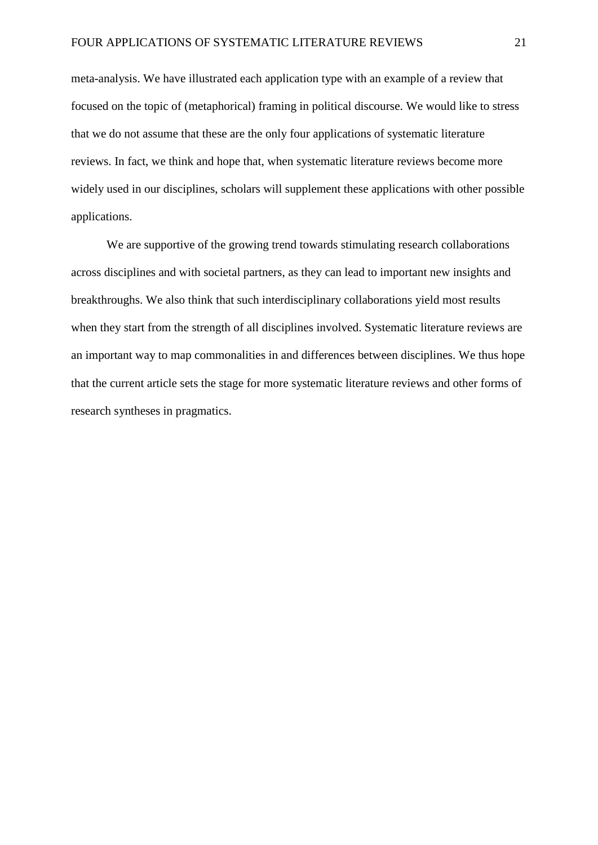meta-analysis. We have illustrated each application type with an example of a review that focused on the topic of (metaphorical) framing in political discourse. We would like to stress that we do not assume that these are the only four applications of systematic literature reviews. In fact, we think and hope that, when systematic literature reviews become more widely used in our disciplines, scholars will supplement these applications with other possible applications.

We are supportive of the growing trend towards stimulating research collaborations across disciplines and with societal partners, as they can lead to important new insights and breakthroughs. We also think that such interdisciplinary collaborations yield most results when they start from the strength of all disciplines involved. Systematic literature reviews are an important way to map commonalities in and differences between disciplines. We thus hope that the current article sets the stage for more systematic literature reviews and other forms of research syntheses in pragmatics.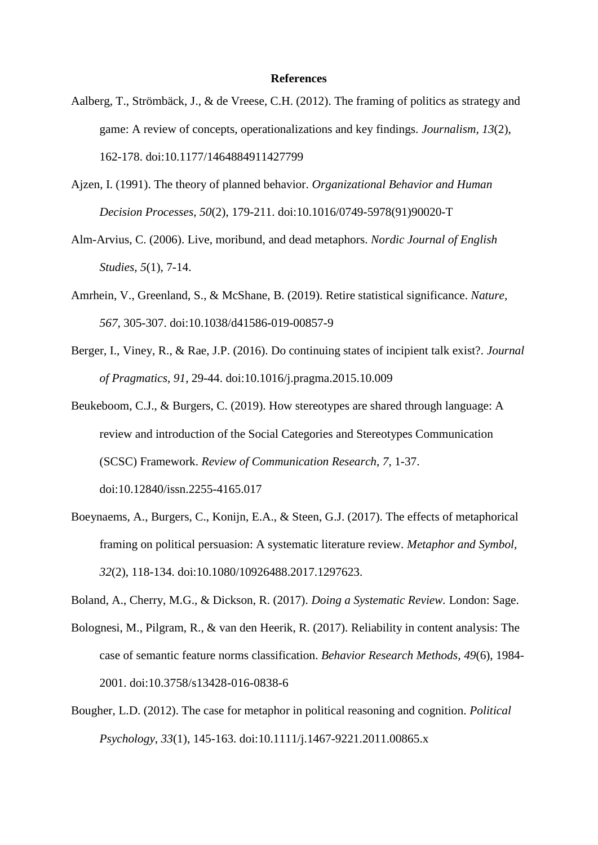#### **References**

- Aalberg, T., Strömbäck, J., & de Vreese, C.H. (2012). The framing of politics as strategy and game: A review of concepts, operationalizations and key findings. *Journalism, 13*(2), 162-178. doi:10.1177/1464884911427799
- Ajzen, I. (1991). The theory of planned behavior. *Organizational Behavior and Human Decision Processes*, *50*(2), 179-211. doi:10.1016/0749-5978(91)90020-T
- Alm-Arvius, C. (2006). Live, moribund, and dead metaphors. *Nordic Journal of English Studies*, *5*(1), 7-14.
- Amrhein, V., Greenland, S., & McShane, B. (2019). Retire statistical significance. *Nature, 567,* 305-307. doi:10.1038/d41586-019-00857-9
- Berger, I., Viney, R., & Rae, J.P. (2016). Do continuing states of incipient talk exist?. *Journal of Pragmatics*, *91*, 29-44. doi:10.1016/j.pragma.2015.10.009
- Beukeboom, C.J., & Burgers, C. (2019). How stereotypes are shared through language: A review and introduction of the Social Categories and Stereotypes Communication (SCSC) Framework. *Review of Communication Research*, *7*, 1-37. doi:10.12840/issn.2255-4165.017
- Boeynaems, A., Burgers, C., Konijn, E.A., & Steen, G.J. (2017). The effects of metaphorical framing on political persuasion: A systematic literature review. *Metaphor and Symbol, 32*(2), 118-134. doi:10.1080/10926488.2017.1297623.
- Boland, A., Cherry, M.G., & Dickson, R. (2017). *Doing a Systematic Review.* London: Sage.
- Bolognesi, M., Pilgram, R., & van den Heerik, R. (2017). Reliability in content analysis: The case of semantic feature norms classification. *Behavior Research Methods, 49*(6), 1984- 2001. doi:10.3758/s13428-016-0838-6
- Bougher, L.D. (2012). The case for metaphor in political reasoning and cognition. *Political Psychology*, *33*(1), 145-163. doi:10.1111/j.1467-9221.2011.00865.x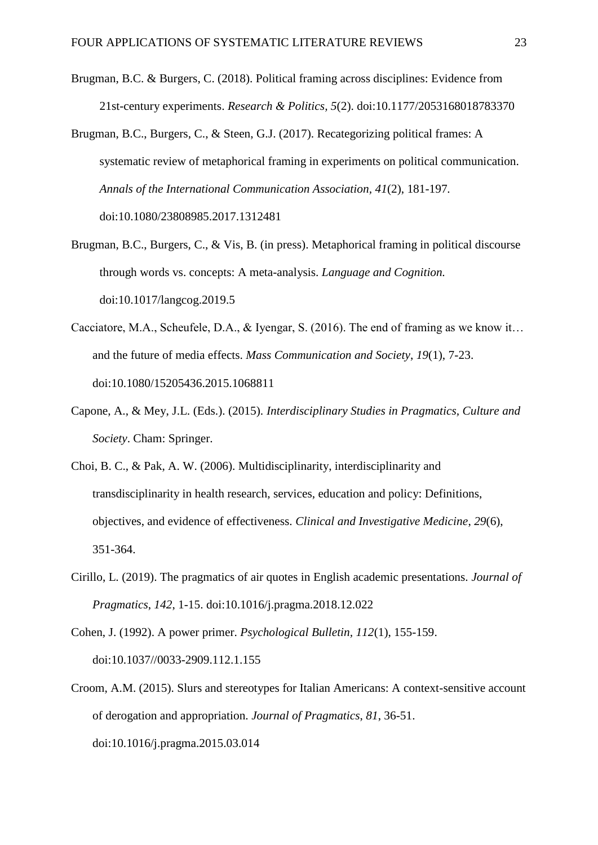- Brugman, B.C. & Burgers, C. (2018). Political framing across disciplines: Evidence from 21st-century experiments. *Research & Politics, 5*(2). doi:10.1177/2053168018783370
- Brugman, B.C., Burgers, C., & Steen, G.J. (2017). Recategorizing political frames: A systematic review of metaphorical framing in experiments on political communication. *Annals of the International Communication Association, 41*(2), 181-197*.*  doi:10.1080/23808985.2017.1312481
- Brugman, B.C., Burgers, C., & Vis, B. (in press). Metaphorical framing in political discourse through words vs. concepts: A meta-analysis. *Language and Cognition.*  doi:10.1017/langcog.2019.5
- Cacciatore, M.A., Scheufele, D.A., & Iyengar, S. (2016). The end of framing as we know it… and the future of media effects. *Mass Communication and Society*, *19*(1), 7-23. doi:10.1080/15205436.2015.1068811
- Capone, A., & Mey, J.L. (Eds.). (2015). *Interdisciplinary Studies in Pragmatics, Culture and Society*. Cham: Springer.
- Choi, B. C., & Pak, A. W. (2006). Multidisciplinarity, interdisciplinarity and transdisciplinarity in health research, services, education and policy: Definitions, objectives, and evidence of effectiveness. *Clinical and Investigative Medicine*, *29*(6), 351-364.
- Cirillo, L. (2019). The pragmatics of air quotes in English academic presentations. *Journal of Pragmatics*, *142*, 1-15. doi:10.1016/j.pragma.2018.12.022
- Cohen, J. (1992). A power primer. *Psychological Bulletin, 112*(1), 155-159. doi:10.1037//0033-2909.112.1.155
- Croom, A.M. (2015). Slurs and stereotypes for Italian Americans: A context-sensitive account of derogation and appropriation. *Journal of Pragmatics*, *81*, 36-51. doi:10.1016/j.pragma.2015.03.014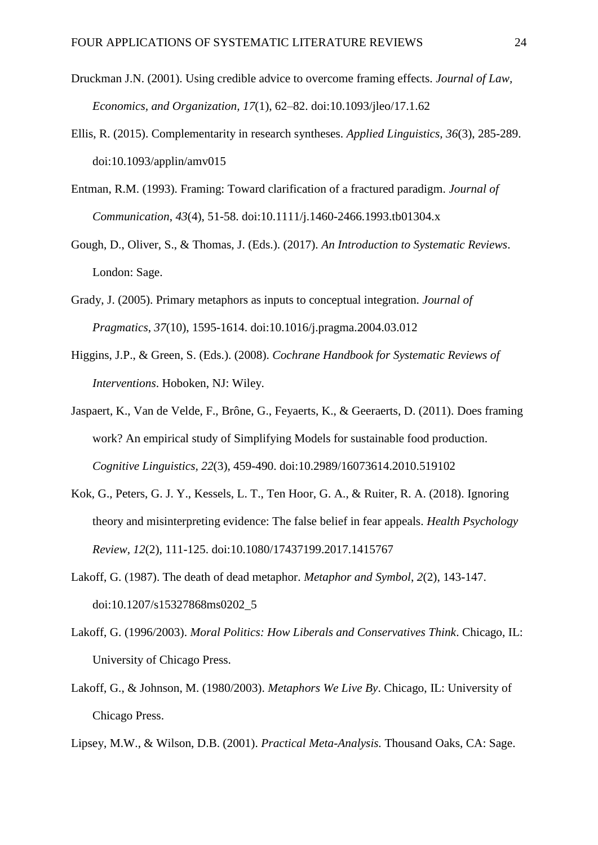- Druckman J.N. (2001). Using credible advice to overcome framing effects. *Journal of Law, Economics, and Organization, 17*(1), 62–82. doi:10.1093/jleo/17.1.62
- Ellis, R. (2015). Complementarity in research syntheses. *Applied Linguistics, 36*(3), 285-289. doi:10.1093/applin/amv015
- Entman, R.M. (1993). Framing: Toward clarification of a fractured paradigm. *Journal of Communication*, *43*(4), 51-58. doi:10.1111/j.1460-2466.1993.tb01304.x
- Gough, D., Oliver, S., & Thomas, J. (Eds.). (2017). *An Introduction to Systematic Reviews*. London: Sage.
- Grady, J. (2005). Primary metaphors as inputs to conceptual integration. *Journal of Pragmatics*, *37*(10), 1595-1614. doi:10.1016/j.pragma.2004.03.012
- Higgins, J.P., & Green, S. (Eds.). (2008). *Cochrane Handbook for Systematic Reviews of Interventions*. Hoboken, NJ: Wiley.
- Jaspaert, K., Van de Velde, F., Brône, G., Feyaerts, K., & Geeraerts, D. (2011). Does framing work? An empirical study of Simplifying Models for sustainable food production. *Cognitive Linguistics, 22*(3), 459-490. doi:10.2989/16073614.2010.519102
- Kok, G., Peters, G. J. Y., Kessels, L. T., Ten Hoor, G. A., & Ruiter, R. A. (2018). Ignoring theory and misinterpreting evidence: The false belief in fear appeals. *Health Psychology Review*, *12*(2), 111-125. doi:10.1080/17437199.2017.1415767
- Lakoff, G. (1987). The death of dead metaphor. *Metaphor and Symbol*, *2*(2), 143-147. doi:10.1207/s15327868ms0202\_5
- Lakoff, G. (1996/2003). *Moral Politics: How Liberals and Conservatives Think*. Chicago, IL: University of Chicago Press.
- Lakoff, G., & Johnson, M. (1980/2003). *Metaphors We Live By*. Chicago, IL: University of Chicago Press.

Lipsey, M.W., & Wilson, D.B. (2001). *Practical Meta-Analysis.* Thousand Oaks, CA: Sage.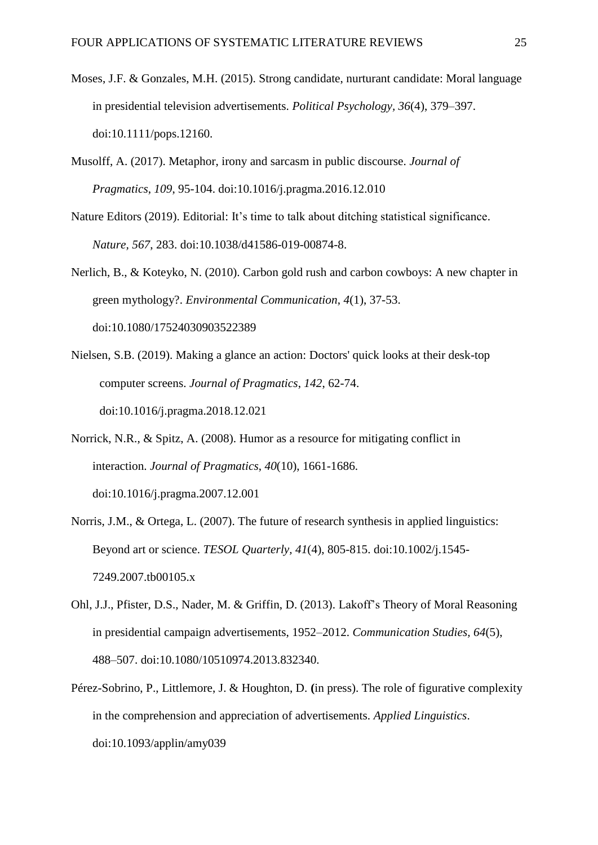- Moses, J.F. & Gonzales, M.H. (2015). Strong candidate, nurturant candidate: Moral language in presidential television advertisements. *Political Psychology, 36*(4), 379–397. doi:10.1111/pops.12160.
- Musolff, A. (2017). Metaphor, irony and sarcasm in public discourse. *Journal of Pragmatics*, *109*, 95-104. doi:10.1016/j.pragma.2016.12.010
- Nature Editors (2019). Editorial: It's time to talk about ditching statistical significance. *Nature, 567*, 283. doi:10.1038/d41586-019-00874-8.
- Nerlich, B., & Koteyko, N. (2010). Carbon gold rush and carbon cowboys: A new chapter in green mythology?. *Environmental Communication*, *4*(1), 37-53. doi:10.1080/17524030903522389
- Nielsen, S.B. (2019). Making a glance an action: Doctors' quick looks at their desk-top computer screens. *Journal of Pragmatics*, *142*, 62-74. doi:10.1016/j.pragma.2018.12.021
- Norrick, N.R., & Spitz, A. (2008). Humor as a resource for mitigating conflict in interaction. *Journal of Pragmatics*, *40*(10), 1661-1686. doi:10.1016/j.pragma.2007.12.001
- Norris, J.M., & Ortega, L. (2007). The future of research synthesis in applied linguistics: Beyond art or science. *TESOL Quarterly, 41*(4), 805-815. doi:10.1002/j.1545- 7249.2007.tb00105.x
- Ohl, J.J., Pfister, D.S., Nader, M. & Griffin, D. (2013). Lakoff's Theory of Moral Reasoning in presidential campaign advertisements, 1952–2012. *Communication Studies, 64*(5), 488–507. doi:10.1080/10510974.2013.832340.
- Pérez-Sobrino, P., Littlemore, J. & Houghton, D. **(**in press). The role of figurative complexity in the comprehension and appreciation of advertisements. *Applied Linguistics*. doi:10.1093/applin/amy039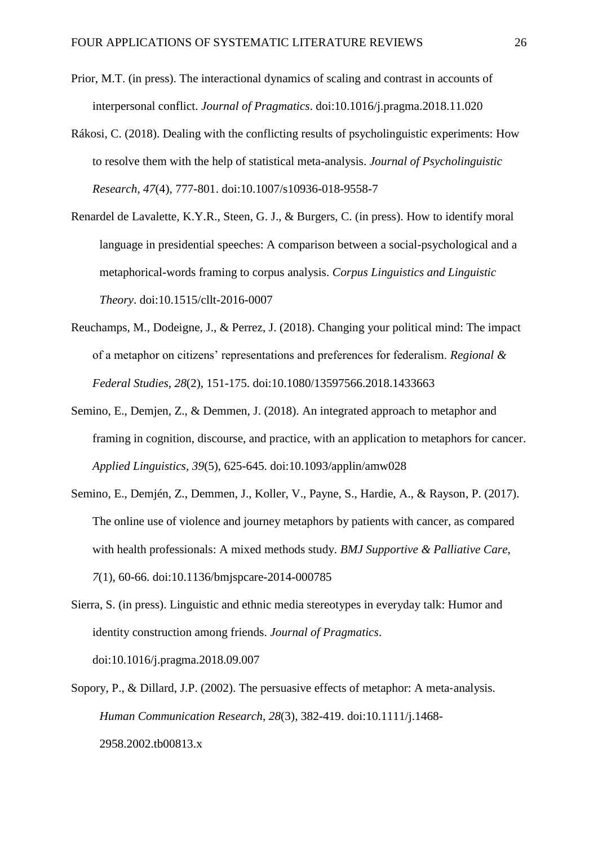- Prior, M.T. (in press). The interactional dynamics of scaling and contrast in accounts of interpersonal conflict. *Journal of Pragmatics*. doi:10.1016/j.pragma.2018.11.020
- Rákosi, C. (2018). Dealing with the conflicting results of psycholinguistic experiments: How to resolve them with the help of statistical meta-analysis. *Journal of Psycholinguistic Research*, *47*(4), 777-801. doi:10.1007/s10936-018-9558-7
- Renardel de Lavalette, K.Y.R., Steen, G. J., & Burgers, C. (in press). How to identify moral language in presidential speeches: A comparison between a social-psychological and a metaphorical-words framing to corpus analysis. *Corpus Linguistics and Linguistic Theory*. doi:10.1515/cllt-2016-0007
- Reuchamps, M., Dodeigne, J., & Perrez, J. (2018). Changing your political mind: The impact of a metaphor on citizens' representations and preferences for federalism. *Regional & Federal Studies*, *28*(2), 151-175. doi:10.1080/13597566.2018.1433663
- Semino, E., Demjen, Z., & Demmen, J. (2018). An integrated approach to metaphor and framing in cognition, discourse, and practice, with an application to metaphors for cancer. *Applied Linguistics, 39*(5), 625-645. doi:10.1093/applin/amw028
- Semino, E., Demjén, Z., Demmen, J., Koller, V., Payne, S., Hardie, A., & Rayson, P. (2017). The online use of violence and journey metaphors by patients with cancer, as compared with health professionals: A mixed methods study. *BMJ Supportive & Palliative Care*, *7*(1), 60-66. doi:10.1136/bmjspcare-2014-000785
- Sierra, S. (in press). Linguistic and ethnic media stereotypes in everyday talk: Humor and identity construction among friends. *Journal of Pragmatics*. doi:10.1016/j.pragma.2018.09.007
- Sopory, P., & Dillard, J.P. (2002). The persuasive effects of metaphor: A meta-analysis. *Human Communication Research*, *28*(3), 382-419. doi:10.1111/j.1468- 2958.2002.tb00813.x